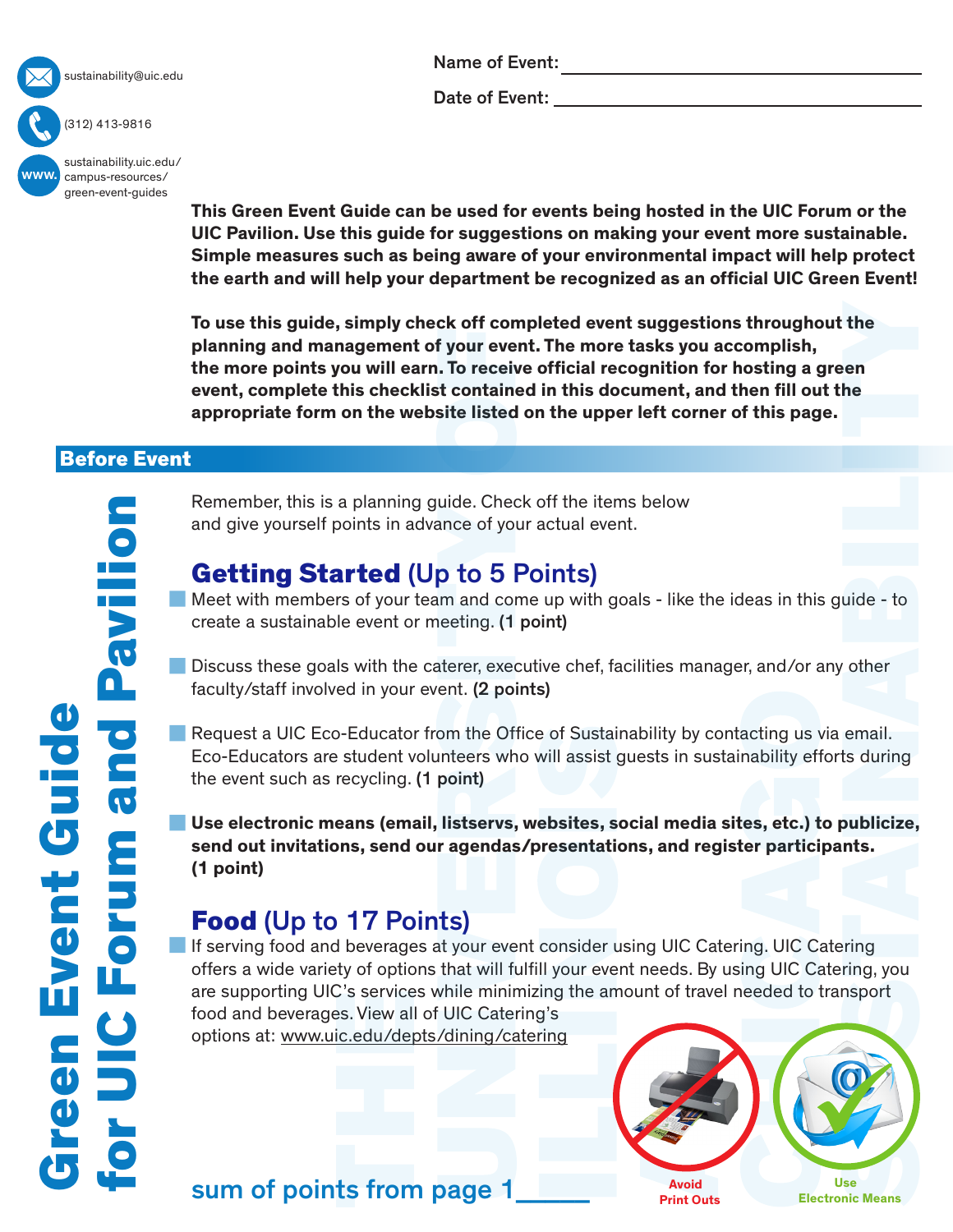

#### (312) 413-9816

Name of Event:

Date of Event:

**This Green Event Guide can be used for events being hosted in the UIC Forum or the UIC Pavilion. Use this guide for suggestions on making your event more sustainable. Simple measures such as being aware of your environmental impact will help protect the earth and will help your department be recognized as an official UIC Green Event!** 

**To use this guide, simply check off completed event suggestions throughout the planning and management of your event. The more tasks you accomplish, the more points you will earn. To receive official recognition for hosting a green event, complete this checklist contained in this document, and then fill out the appropriate form on the website listed on the upper left corner of this page.**

### Before Event

Remember, this is a planning guide. Check off the items below and give yourself points in advance of your actual event.

# Getting Started (Up to 5 Points)

Meet with members of your team and come up with goals - like the ideas in this guide - to create a sustainable event or meeting. (1 point)

- Discuss these goals with the caterer, executive chef, facilities manager, and/or any other faculty/staff involved in your event. (2 points)
- Request a UIC Eco-Educator from the Office of Sustainability by contacting us via email. Eco-Educators are student volunteers who will assist guests in sustainability efforts during the event such as recycling. (1 point)

**Use electronic means (email, listservs, websites, social media sites, etc.) to publicize, send out invitations, send our agendas/presentations, and register participants. (1 point)**

# Food (Up to 17 Points)

If serving food and beverages at your event consider using UIC Catering. UIC Catering offers a wide variety of options that will fulfill your event needs. By using UIC Catering, you are supporting UIC's services while minimizing the amount of travel needed to transport food and beverages. View all of UIC Catering's options at:<www.uic.edu/depts/dining/catering>



 **Use** sum of points from page 1\_\_\_\_\_ **Electronic Means**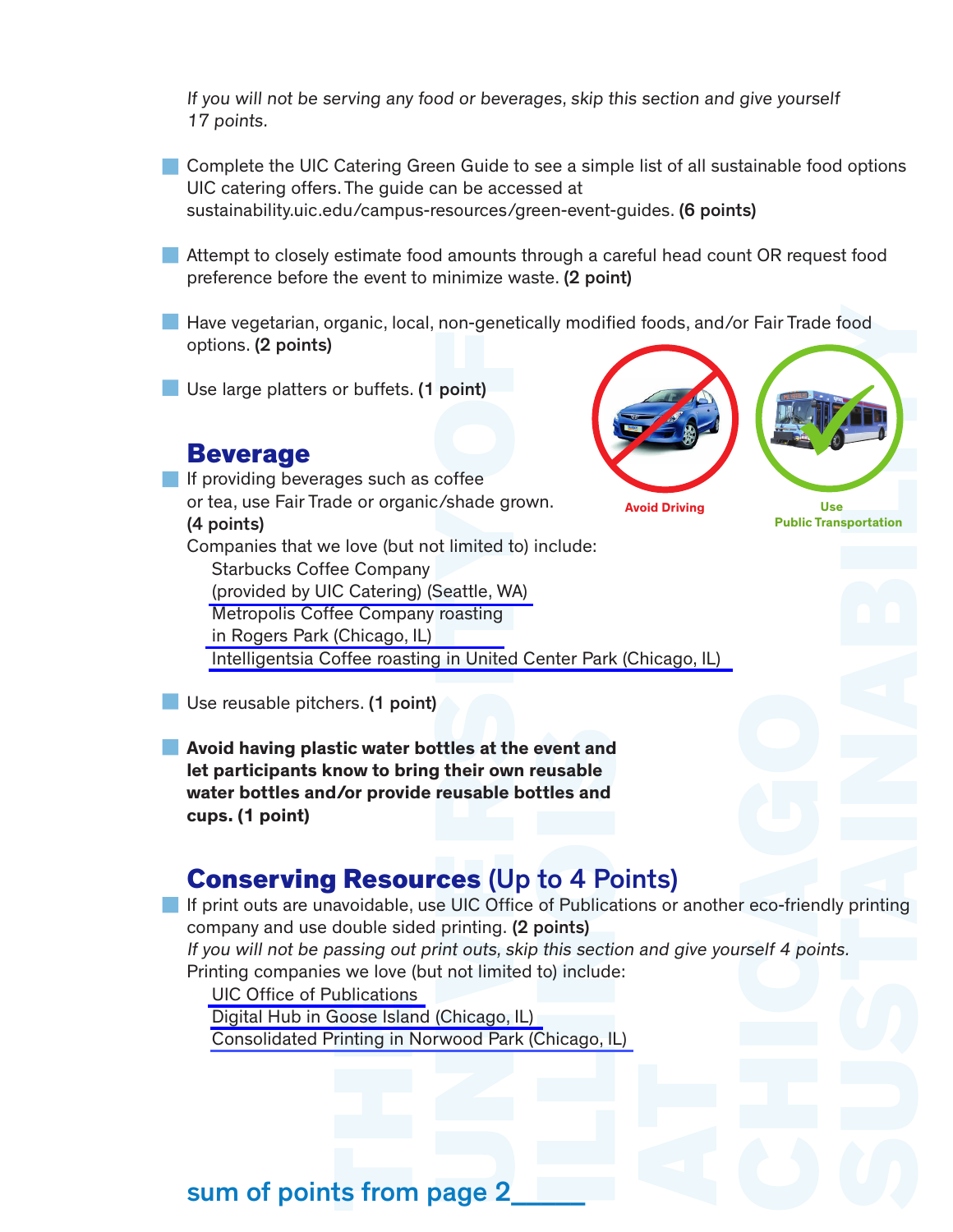If you will not be serving any food or beverages, skip this section and give yourself 17 points.

Complete the UIC Catering Green Guide to see a simple list of all sustainable food options UIC catering offers. The guide can be accessed at [sustainability.uic.edu/campus-resources/green-event-guides.](sustainability.uic.edu/campus-resources/green-event-guides) (6 points)

- Attempt to closely estimate food amounts through a careful head count OR request food preference before the event to minimize waste. (2 point)
- Have vegetarian, organic, local, non-genetically modified foods, and/or Fair Trade food options. (2 points)
- Use large platters or buffets. (1 point)

## Beverage

If providing beverages such as coffee or tea, use Fair Trade or organic/shade grown. (4 points) Companies that we love (but not limited to) include: Starbucks Coffee Company [\(provided by UIC Catering\) \(Seattle, WA\)](http://www.starbucks.com/?cm_mmc=Google-_-BR+-+Brand+-+Starbucks-_-Starbucks+Brand-_-starbucks+coffee+company&channel=search&utm_campaign=BR+-+Brand+-+Starbucks&utm_group=Starbucks+Brand&keyword=starbucks+coffee+company&matchtype=Phrase&gclid=CN_Tt7Ds7sMCFQ-saQodE6QALw) [Metropolis Coffee Company roasting](https://www.metropoliscoffee.com)  in Rogers Park (Chicago, IL) [Intelligentsia Coffee roasting in United Center Park \(Chicago, IL\)](http://www.intelligentsiacoffee.com) 





**Avoid Driving Communist Communist Communist Communist Communist Communist Communist Communist Communist Communist Communist Communist Communist Communist Communist Communist Communist Communist Communist Communist Communi** 

**Public Transportation**

Use reusable pitchers. (1 point)

**Avoid having plastic water bottles at the event and let participants know to bring their own reusable water bottles and/or provide reusable bottles and cups. (1 point)**

## Conserving Resources (Up to 4 Points)

If print outs are unavoidable, use UIC Office of Publications or another eco-friendly printing company and use double sided printing. (2 points)

If you will not be passing out print outs, skip this section and give yourself 4 points. Printing companies we love (but not limited to) include:

 [UIC Office of Publications](http://www.uic.edu/depts/publications/) [Digital Hub in Goose Island \(Chicago, IL\)](http://digitalhubchicago.com)

[Consolidated Printing in Norwood Park \(Chicago, IL\)](http://www.consolidatedprinting.net/Pages/About+Us)

# sum of points from page 2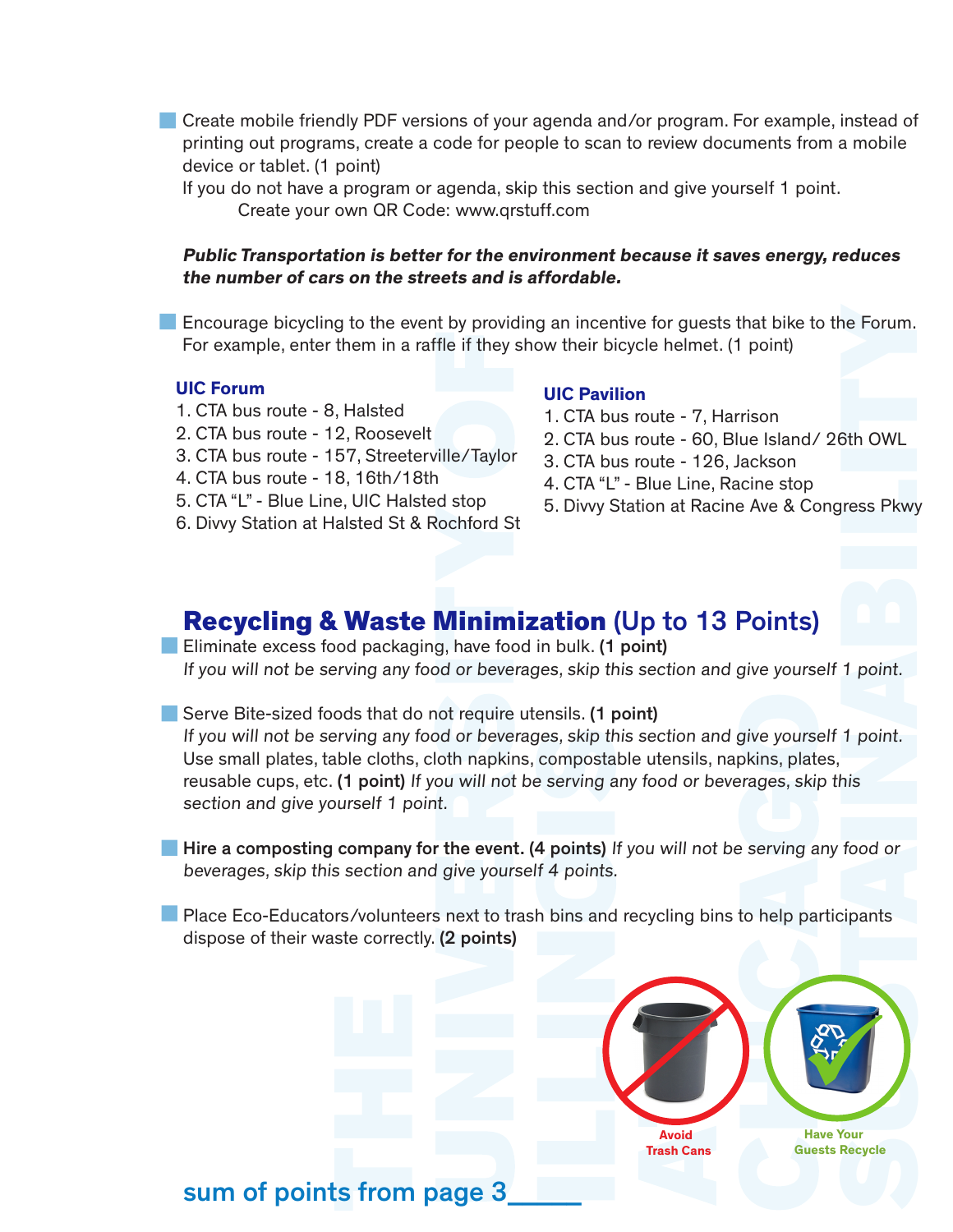Create mobile friendly PDF versions of your agenda and/or program. For example, instead of printing out programs, create a code for people to scan to review documents from a mobile device or tablet. (1 point)

If you do not have a program or agenda, skip this section and give yourself 1 point. Create your own QR Code:<www.qrstuff.com>

#### **Public Transportation is better for the environment because it saves energy, reduces the number of cars on the streets and is affordable.**

Encourage bicycling to the event by providing an incentive for guests that bike to the Forum. For example, enter them in a raffle if they show their bicycle helmet. (1 point)

#### **UIC Forum**

- 1. CTA bus route 8, Halsted
- 2. CTA bus route 12, Roosevelt
- 3. CTA bus route 157, Streeterville/Taylor
- 4. CTA bus route 18, 16th/18th
- 5. CTA "L" Blue Line, UIC Halsted stop
- 6. Divvy Station at Halsted St & Rochford St

#### **UIC Pavilion**

- 1. CTA bus route 7, Harrison
- 2. CTA bus route 60, Blue Island/ 26th OWL
- 3. CTA bus route 126, Jackson
- 4. CTA "L" Blue Line, Racine stop
- 5. Divvy Station at Racine Ave & Congress Pkwy

## Recycling & Waste Minimization (Up to 13 Points)

**Eliminate excess food packaging, have food in bulk. (1 point)** If you will not be serving any food or beverages, skip this section and give yourself 1 point.

Serve Bite-sized foods that do not require utensils. (1 point) If you will not be serving any food or beverages, skip this section and give yourself 1 point. Use small plates, table cloths, cloth napkins, compostable utensils, napkins, plates, reusable cups, etc. (1 point) If you will not be serving any food or beverages, skip this section and give yourself 1 point.

**Hire a composting company for the event. (4 points)** If you will not be serving any food or beverages, skip this section and give yourself 4 points.

**Place Eco-Educators/volunteers next to trash bins and recycling bins to help participants** dispose of their waste correctly. (2 points)



sum of points from page 3